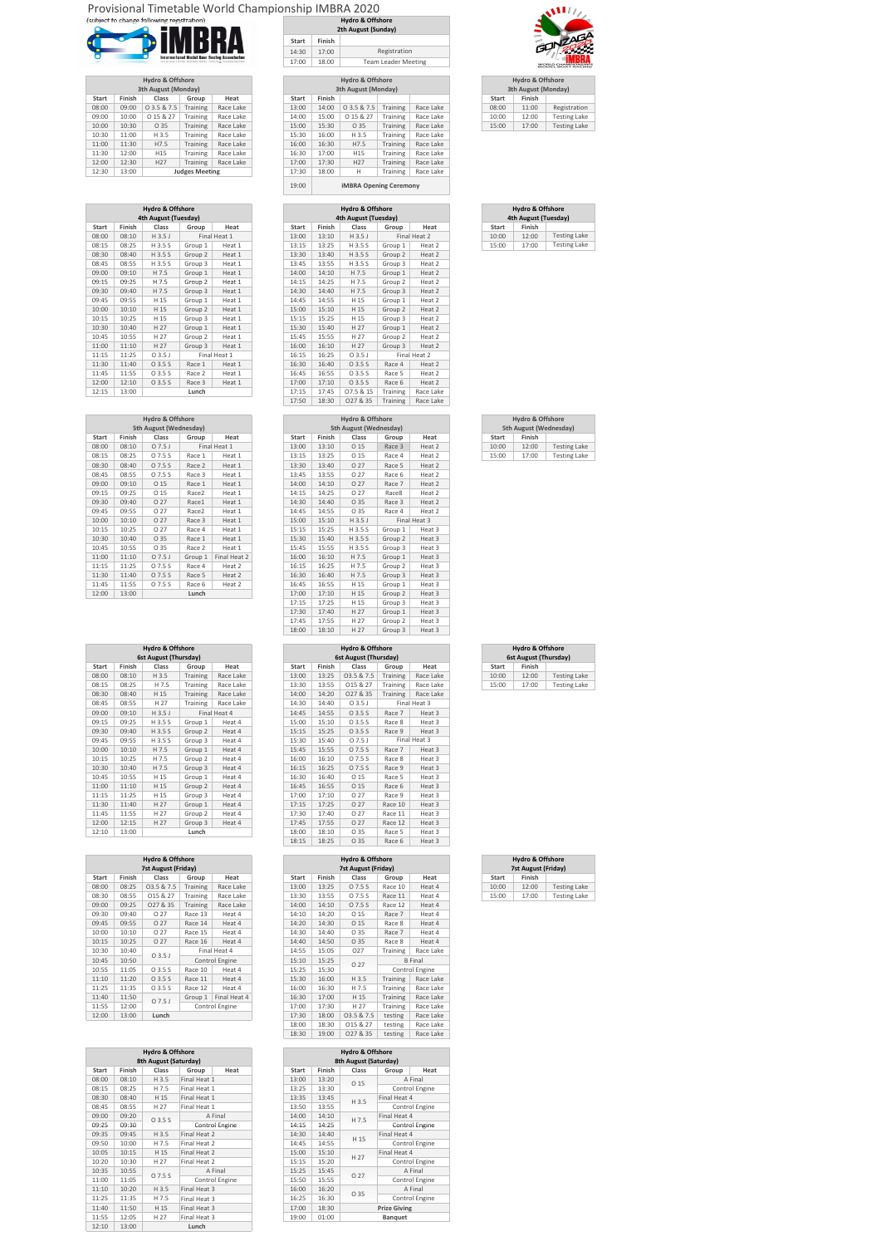## Provisional Timetable World Championship IMBRA 2020



|              |        | <b>Hydro &amp; Offshore</b><br>3th August (Monday) |                       |           |       |        | <b>Hydro &amp; Offshore</b><br>3th August (Monday) |          |           | 3th August   | Hydro & |
|--------------|--------|----------------------------------------------------|-----------------------|-----------|-------|--------|----------------------------------------------------|----------|-----------|--------------|---------|
| <b>Start</b> | Finish | Class                                              | Group                 | Heat      | Start | Finish |                                                    |          |           | <b>Start</b> |         |
| 08:00        | 09:00  | 03.587.5                                           | Training              | Race Lake | 13:00 | 14:00  | 03.587.5                                           | Training | Race Lake | 08:00        |         |
| 09:00        | 10:00  | 0 15 & 27                                          | Training              | Race Lake | 14:00 | 15:00  | 0 15 & 27                                          | Training | Race Lake | 10:00        |         |
| 10:00        | 10:30  | O 35                                               | Training              | Race Lake | 15:00 | 15:30  | O 35                                               | Training | Race Lake | 15:00        |         |
| 10:30        | 11:00  | H 3.5                                              | Training              | Race Lake | 15:30 | 16:00  | H 3.5                                              | Training | Race Lake |              |         |
| 11:00        | 11:30  | H7.5                                               | Training              | Race Lake | 16:00 | 16:30  | H7.5                                               | Training | Race Lake |              |         |
| 11:30        | 12:00  | H <sub>15</sub>                                    | Training              | Race Lake | 16:30 | 17:00  | H <sub>15</sub>                                    | Training | Race Lake |              |         |
| 12:00        | 12:30  | H <sub>27</sub>                                    | Training              | Race Lake | 17:00 | 17:30  | H <sub>27</sub>                                    | Training | Race Lake |              |         |
| 12:30        | 13:00  |                                                    | <b>Judges Meeting</b> |           | 17:30 | 18:00  | Н                                                  | Training | Race Lake |              |         |

| <b>Hydro &amp; Offshore</b><br>4th August (Tuesday) |                              |                     |  |  |  |  |  |  |  |  |  |
|-----------------------------------------------------|------------------------------|---------------------|--|--|--|--|--|--|--|--|--|
| <b>Start</b>                                        | Finish                       |                     |  |  |  |  |  |  |  |  |  |
| 10:00                                               | 12:00                        | <b>Testing Lake</b> |  |  |  |  |  |  |  |  |  |
| 15:00                                               | <b>Testing Lake</b><br>17:00 |                     |  |  |  |  |  |  |  |  |  |

|                                       |        | <b>Hydro &amp; Offshore</b><br>3th August (Monday) |  |  |  |  |  |  |  |  |  |  |
|---------------------------------------|--------|----------------------------------------------------|--|--|--|--|--|--|--|--|--|--|
| <b>Start</b>                          | Finish |                                                    |  |  |  |  |  |  |  |  |  |  |
| 08:00                                 | 11:00  | Registration                                       |  |  |  |  |  |  |  |  |  |  |
| <b>Testing Lake</b><br>10:00<br>12:00 |        |                                                    |  |  |  |  |  |  |  |  |  |  |
| <b>Testing Lake</b><br>15:00<br>17:00 |        |                                                    |  |  |  |  |  |  |  |  |  |  |

| <b>Hydro &amp; Offshore</b> |                       |           |              |        | <b>Hydro &amp; Offshore</b>   |          |           |              | <b>Hydro &amp; Offshore</b> |        |
|-----------------------------|-----------------------|-----------|--------------|--------|-------------------------------|----------|-----------|--------------|-----------------------------|--------|
| 3th August (Monday)         |                       |           |              |        | 3th August (Monday)           |          |           |              | 3th August (Monday)         |        |
| Class                       | Group                 | Heat      | <b>Start</b> | Finish |                               |          |           | <b>Start</b> | Finish                      |        |
| 0 3.5 & 7.5                 | Training              | Race Lake | 13:00        | 14:00  | 03.587.5                      | Training | Race Lake | 08:00        | 11:00                       | Regist |
| 0 15 & 27                   | Training              | Race Lake | 14:00        | 15:00  | 0 15 & 27                     | Training | Race Lake | 10:00        | 12:00                       | Testir |
| O 35                        | <b>Training</b>       | Race Lake | 15:00        | 15:30  | O 35                          | Training | Race Lake | 15:00        | 17:00                       | Testir |
| H 3.5                       | Training              | Race Lake | 15:30        | 16:00  | H 3.5                         | Training | Race Lake |              |                             |        |
| H7.5                        | <b>Training</b>       | Race Lake | 16:00        | 16:30  | H7.5                          | Training | Race Lake |              |                             |        |
| H <sub>15</sub>             | <b>Training</b>       | Race Lake | 16:30        | 17:00  | H15                           | Training | Race Lake |              |                             |        |
| H <sub>27</sub>             | Training              | Race Lake | 17:00        | 17:30  | H <sub>27</sub>               | Training | Race Lake |              |                             |        |
|                             | <b>Judges Meeting</b> |           | 17:30        | 18:00  | H                             | Training | Race Lake |              |                             |        |
|                             |                       |           | 19:00        |        | <b>iMBRA Opening Ceremony</b> |          |           |              |                             |        |

|              |        | <b>Hydro &amp; Offshore</b><br>2th August (Sunday) |
|--------------|--------|----------------------------------------------------|
| <b>Start</b> | Finish |                                                    |
| 14:30        | 17:00  | Registration                                       |
| 17:00        | 18:00  | <b>Team Leader Meeting</b>                         |
|              |        |                                                    |

| <b>Hydro &amp; Offshore</b> |              |              |          | <b>Hydro &amp; Offshore</b> |        |              |              |         | <b>Hydro &amp; Offshore</b> |        |       |
|-----------------------------|--------------|--------------|----------|-----------------------------|--------|--------------|--------------|---------|-----------------------------|--------|-------|
| 4th August (Tuesday)        |              |              |          | 4th August (Tuesday)        |        |              |              |         | 4th August (Tuesday)        |        |       |
| Finish                      | <b>Start</b> | Heat         | Group    | Class                       | Finish | <b>Start</b> | Heat         | Group   | Class                       | Finish | Start |
| 12:00                       | 10:00        | Final Heat 2 |          | H 3.5 J                     | 13:10  | 13:00        | Final Heat 1 |         | H 3.5 J                     | 08:10  | 08:00 |
| 17:00                       | 15:00        | Heat 2       | Group 1  | H 3.5 S                     | 13:25  | 13:15        | Heat 1       | Group 1 | H 3.5 S                     | 08:25  | 08:15 |
|                             |              | Heat 2       | Group 2  | H 3.5 S                     | 13:40  | 13:30        | Heat 1       | Group 2 | H 3.5 S                     | 08:40  | 08:30 |
|                             |              | Heat 2       | Group 3  | H 3.5 S                     | 13:55  | 13:45        | Heat 1       | Group 3 | H 3.5 S                     | 08:55  | 08:45 |
|                             |              | Heat 2       | Group 1  | H 7.5                       | 14:10  | 14:00        | Heat 1       | Group 1 | H 7.5                       | 09:10  | 09:00 |
|                             |              | Heat 2       | Group 2  | H 7.5                       | 14:25  | 14:15        | Heat 1       | Group 2 | H 7.5                       | 09:25  | 09:15 |
|                             |              | Heat 2       | Group 3  | H 7.5                       | 14:40  | 14:30        | Heat 1       | Group 3 | H 7.5                       | 09:40  | 09:30 |
|                             |              | Heat 2       | Group 1  | H 15                        | 14:55  | 14:45        | Heat 1       | Group 1 | H 15                        | 09:55  | 09:45 |
|                             |              | Heat 2       | Group 2  | H 15                        | 15:10  | 15:00        | Heat 1       | Group 2 | H 15                        | 10:10  | 10:00 |
|                             |              | Heat 2       | Group 3  | H 15                        | 15:25  | 15:15        | Heat 1       | Group 3 | H 15                        | 10:25  | 10:15 |
|                             |              | Heat 2       | Group 1  | H 27                        | 15:40  | 15:30        | Heat 1       | Group 1 | H 27                        | 10:40  | 10:30 |
|                             |              | Heat 2       | Group 2  | H 27                        | 15:55  | 15:45        | Heat 1       | Group 2 | H 27                        | 10:55  | 10:45 |
|                             |              | Heat 2       | Group 3  | H 27                        | 16:10  | 16:00        | Heat 1       | Group 3 | H 27                        | 11:10  | 11:00 |
|                             |              | Final Heat 2 |          | 03.5J                       | 16:25  | 16:15        | Final Heat 1 |         | 03.5J                       | 11:25  | 11:15 |
|                             |              | Heat 2       | Race 4   | 03.5S                       | 16:40  | 16:30        | Heat 1       | Race 1  | 03.5S                       | 11:40  | 11:30 |
|                             |              | Heat 2       | Race 5   | 03.5S                       | 16:55  | 16:45        | Heat 1       | Race 2  | 03.5S                       | 11:55  | 11:45 |
|                             |              | Heat 2       | Race 6   | 03.5S                       | 17:10  | 17:00        | Heat 1       | Race 3  | 03.5S                       | 12:10  | 12:00 |
|                             |              | Race Lake    | Training | 07.5 & 15                   | 17:45  | 17:15        |              | Lunch   |                             | 13:00  | 12:15 |
|                             |              | Race Lake    | Training | 027 & 35                    | 18:30  | 17:50        |              |         |                             |        |       |

|              |        | <b>Hydro &amp; Offshore</b><br>4th August (Tuesday) |                    |              |
|--------------|--------|-----------------------------------------------------|--------------------|--------------|
| <b>Start</b> | Finish | Class                                               | Group              | Heat         |
| 08:00        | 08:10  | H 3.5 J                                             |                    | Final Heat 1 |
| 08:15        | 08:25  | H 3.5 S                                             | Group 1            | Heat 1       |
| 08:30        | 08:40  | H 3.5 S                                             | Group 2            | Heat 1       |
| 08:45        | 08:55  | H 3.5 S                                             | Group 3            | Heat 1       |
| 09:00        | 09:10  | H 7.5                                               | Group 1            | Heat 1       |
| 09:15        | 09:25  | H 7.5                                               | Group 2            | Heat 1       |
| 09:30        | 09:40  | H 7.5                                               | Group 3            | Heat 1       |
| 09:45        | 09:55  | H 15                                                | Group 1            | Heat 1       |
| 10:00        | 10:10  | H 15                                                | Group 2            | Heat 1       |
| 10:15        | 10:25  | H 15                                                | Group 3            | Heat 1       |
| 10:30        | 10:40  | H 27                                                | Group 1            | Heat 1       |
| 10:45        | 10:55  | H 27                                                | Group <sub>2</sub> | Heat 1       |
| 11:00        | 11:10  | H 27                                                | Group 3            | Heat 1       |
| 11:15        | 11:25  | 03.5J                                               |                    | Final Heat 1 |
| 11:30        | 11:40  | 03.5S                                               | Race 1             | Heat 1       |
| 11:45        | 11:55  | 03.5S                                               | Race 2             | Heat 1       |
| 12:00        | 12:10  | 03.5S                                               | Race 3             | Heat 1       |
| 12:15        | 13:00  |                                                     | Lunch              |              |
|              |        |                                                     |                    |              |

|       |        | <b>Hydro &amp; Offshore</b> |                   |              |              |        | <b>Hydro &amp; Offshore</b> |         |              |              | <b>Hydro &amp; Offshore</b>   |         |
|-------|--------|-----------------------------|-------------------|--------------|--------------|--------|-----------------------------|---------|--------------|--------------|-------------------------------|---------|
|       |        | 5th August (Wednesday)      |                   |              |              |        | 5th August (Wednesday)      |         |              |              | <b>5th August (Wednesday)</b> |         |
| Start | Finish | Class                       | Group             | Heat         | <b>Start</b> | Finish | Class                       | Group   | Heat         | <b>Start</b> | Finish                        |         |
| 08:00 | 08:10  | 07.5J                       |                   | Final Heat 1 | 13:00        | 13:10  | O 15                        | Race 3  | Heat 2       | 10:00        | 12:00                         | Testing |
| 08:15 | 08:25  | O 7.5 S                     | Race 1            | Heat 1       | 13:15        | 13:25  | O <sub>15</sub>             | Race 4  | Heat 2       | 15:00        | 17:00                         | Testing |
| 08:30 | 08:40  | O 7.5 S                     | Race 2            | Heat 1       | 13:30        | 13:40  | O 27                        | Race 5  | Heat 2       |              |                               |         |
| 08:45 | 08:55  | O 7.5 S                     | Race 3            | Heat 1       | 13:45        | 13:55  | O 27                        | Race 6  | Heat 2       |              |                               |         |
| 09:00 | 09:10  | O 15                        | Race 1            | Heat 1       | 14:00        | 14:10  | O 27                        | Race 7  | Heat 2       |              |                               |         |
| 09:15 | 09:25  | O 15                        | Race <sub>2</sub> | Heat 1       | 14:15        | 14:25  | O 27                        | Race8   | Heat 2       |              |                               |         |
| 09:30 | 09:40  | O <sub>27</sub>             | Race1             | Heat 1       | 14:30        | 14:40  | O 35                        | Race 3  | Heat 2       |              |                               |         |
| 09:45 | 09:55  | O 27                        | Race2             | Heat 1       | 14:45        | 14:55  | O 35                        | Race 4  | Heat 2       |              |                               |         |
| 10:00 | 10:10  | O <sub>27</sub>             | Race 3            | Heat 1       | 15:00        | 15:10  | H3.5J                       |         | Final Heat 3 |              |                               |         |
| 10:15 | 10:25  | O 27                        | Race 4            | Heat 1       | 15:15        | 15:25  | H 3.5 S                     | Group 1 | Heat 3       |              |                               |         |
| 10:30 | 10:40  | O 35                        | Race 1            | Heat 1       | 15:30        | 15:40  | H 3.5 S                     | Group 2 | Heat 3       |              |                               |         |
| 10:45 | 10:55  | O 35                        | Race 2            | Heat 1       | 15:45        | 15:55  | H 3.5 S                     | Group 3 | Heat 3       |              |                               |         |
| 11:00 | 11:10  | 07.5J                       | Group 1           | Final Heat 2 | 16:00        | 16:10  | H 7.5                       | Group 1 | Heat 3       |              |                               |         |
| 11:15 | 11:25  | O 7.5 S                     | Race 4            | Heat 2       | 16:15        | 16:25  | H 7.5                       | Group 2 | Heat 3       |              |                               |         |
| 11:30 | 11:40  | O 7.5 S                     | Race 5            | Heat 2       | 16:30        | 16:40  | H 7.5                       | Group 3 | Heat 3       |              |                               |         |
| 11:45 | 11:55  | O 7.5 S                     | Race 6            | Heat 2       | 16:45        | 16:55  | H 15                        | Group 1 | Heat 3       |              |                               |         |
| 12:00 | 13:00  |                             | Lunch             |              | 17:00        | 17:10  | H 15                        | Group 2 | Heat 3       |              |                               |         |
|       |        |                             |                   |              | 17:15        | 17:25  | H 15                        | Group 3 | Heat 3       |              |                               |         |
|       |        |                             |                   |              | 17:30        | 17:40  | H 27                        | Group 1 | Heat 3       |              |                               |         |
|       |        |                             |                   |              | 17:45        | 17:55  | H 27                        | Group 2 | Heat 3       |              |                               |         |
|       |        |                             |                   |              | 18:00        | 18:10  | H 27                        | Group 3 | Heat 3       |              |                               |         |

| <b>Hydro &amp; Offshore</b> |                     |  |  |  |  |  |  |  |  |  |  |
|-----------------------------|---------------------|--|--|--|--|--|--|--|--|--|--|
| 5th August (Wednesday)      |                     |  |  |  |  |  |  |  |  |  |  |
| Finish                      |                     |  |  |  |  |  |  |  |  |  |  |
| 12:00                       | <b>Testing Lake</b> |  |  |  |  |  |  |  |  |  |  |
| 17:00                       | <b>Testing Lake</b> |  |  |  |  |  |  |  |  |  |  |
|                             |                     |  |  |  |  |  |  |  |  |  |  |

|       |        | <b>Hydro &amp; Offshore</b><br>5th August (Wednesday) |         |              |
|-------|--------|-------------------------------------------------------|---------|--------------|
| Start | Finish | Class                                                 | Group   | Heat         |
| 08:00 | 08:10  | 07.5J                                                 |         | Final Heat 1 |
| 08:15 | 08:25  | O 7.5 S                                               | Race 1  | Heat 1       |
| 08:30 | 08:40  | O 7.5 S                                               | Race 2  | Heat 1       |
| 08:45 | 08:55  | O 7.5 S                                               | Race 3  | Heat 1       |
| 09:00 | 09:10  | O 15                                                  | Race 1  | Heat 1       |
| 09:15 | 09:25  | O <sub>15</sub>                                       | Race2   | Heat 1       |
| 09:30 | 09:40  | O 27                                                  | Race1   | Heat 1       |
| 09:45 | 09:55  | O 27                                                  | Race2   | Heat 1       |
| 10:00 | 10:10  | O 27                                                  | Race 3  | Heat 1       |
| 10:15 | 10:25  | O 27                                                  | Race 4  | Heat 1       |
| 10:30 | 10:40  | O 35                                                  | Race 1  | Heat 1       |
| 10:45 | 10:55  | O 35                                                  | Race 2  | Heat 1       |
| 11:00 | 11:10  | 07.5J                                                 | Group 1 | Final Heat 2 |
| 11:15 | 11:25  | O 7.5 S                                               | Race 4  | Heat 2       |
| 11:30 | 11:40  | O 7.5 S                                               | Race 5  | Heat 2       |
| 11:45 | 11:55  | O 7.5 S                                               | Race 6  | Heat 2       |
| 12:00 | 13:00  |                                                       | Lunch   |              |
|       |        |                                                       |         |              |

|              |        | <b>Hydro &amp; Offshore</b> |          |              |       |        | <b>Hydro &amp; Offshore</b> |          |              |
|--------------|--------|-----------------------------|----------|--------------|-------|--------|-----------------------------|----------|--------------|
|              |        | 6st August (Thursday)       |          |              |       |        | 6st August (Thursday)       |          |              |
| <b>Start</b> | Finish | Class                       | Group    | Heat         | Start | Finish | Class                       | Group    | Heat         |
| 08:00        | 08:10  | H 3.5                       | Training | Race Lake    | 13:00 | 13:25  | 03.5 & 7.5                  | Training | Race Lake    |
| 08:15        | 08:25  | H 7.5                       | Training | Race Lake    | 13:30 | 13:55  | 015 & 27                    | Training | Race Lake    |
| 08:30        | 08:40  | H 15                        | Training | Race Lake    | 14:00 | 14:20  | 027 & 35                    | Training | Race Lake    |
| 08:45        | 08:55  | H 27                        | Training | Race Lake    | 14:30 | 14:40  | 03.5J                       |          | Final Heat 3 |
| 09:00        | 09:10  | H 3.5 J                     |          | Final Heat 4 | 14:45 | 14:55  | 03.5S                       | Race 7   | Heat 3       |
| 09:15        | 09:25  | H 3.5 S                     | Group 1  | Heat 4       | 15:00 | 15:10  | $O$ 3.5 S                   | Race 8   | Heat 3       |
| 09:30        | 09:40  | H 3.5 S                     | Group 2  | Heat 4       | 15:15 | 15:25  | 03.5S                       | Race 9   | Heat 3       |
| 09:45        | 09:55  | H 3.5 S                     | Group 3  | Heat 4       | 15:30 | 15:40  | 07.5J                       |          | Final Heat 3 |
| 10:00        | 10:10  | H 7.5                       | Group 1  | Heat 4       | 15:45 | 15:55  | O 7.5 S                     | Race 7   | Heat 3       |
| 10:15        | 10:25  | H 7.5                       | Group 2  | Heat 4       | 16:00 | 16:10  | O 7.5 S                     | Race 8   | Heat 3       |
| 10:30        | 10:40  | H 7.5                       | Group 3  | Heat 4       | 16:15 | 16:25  | 07.5S                       | Race 9   | Heat 3       |
| 10:45        | 10:55  | H 15                        | Group 1  | Heat 4       | 16:30 | 16:40  | O 15                        | Race 5   | Heat 3       |
| 11:00        | 11:10  | H 15                        | Group 2  | Heat 4       | 16:45 | 16:55  | O 15                        | Race 6   | Heat 3       |
| 11:15        | 11:25  | H 15                        | Group 3  | Heat 4       | 17:00 | 17:10  | O 27                        | Race 9   | Heat 3       |
| 11:30        | 11:40  | H 27                        | Group 1  | Heat 4       | 17:15 | 17:25  | O <sub>27</sub>             | Race 10  | Heat 3       |
| 11:45        | 11:55  | H 27                        | Group 2  | Heat 4       | 17:30 | 17:40  | O 27                        | Race 11  | Heat 3       |
| 12:00        | 12:15  | H 27                        | Group 3  | Heat 4       | 17:45 | 17:55  | O 27                        | Race 12  | Heat 3       |
| 12:10        | 13:00  |                             | Lunch    |              | 18:00 | 18:10  | O 35                        | Race 5   | Heat 3       |

| <b>Hydro &amp; Offshore</b> |              |                       |          | <b>Hydro &amp; Offshore</b> |        |              |              |                       | <b>Hydro &amp; Offshore</b> |        |              |
|-----------------------------|--------------|-----------------------|----------|-----------------------------|--------|--------------|--------------|-----------------------|-----------------------------|--------|--------------|
| 6st August (Thursday)       |              | 6st August (Thursday) |          |                             |        |              |              | 6st August (Thursday) |                             |        |              |
| Finish                      | <b>Start</b> | Heat                  | Group    | Class                       | Finish | <b>Start</b> | Heat         | Group                 | Class                       | Finish | <b>Start</b> |
| 12:00                       | 10:00        | Race Lake             | Training | 03.5 & 7.5                  | 13:25  | 13:00        | Race Lake    | Training              | H 3.5                       | 08:10  | 08:00        |
| 17:00                       | 15:00        | Race Lake             | Training | 015 & 27                    | 13:55  | 13:30        | Race Lake    | Training              | H 7.5                       | 08:25  | 08:15        |
|                             |              | Race Lake             | Training | 027 & 35                    | 14:20  | 14:00        | Race Lake    | Training              | H 15                        | 08:40  | 08:30        |
|                             |              | Final Heat 3          |          | O <sub>3.5</sub>            | 14:40  | 14:30        | Race Lake    | Training              | H 27                        | 08:55  | 08:45        |
|                             |              | Heat 3                | Race 7   | 03.5S                       | 14:55  | 14:45        | Final Heat 4 |                       | H3.5J                       | 09:10  | 09:00        |
|                             |              | Heat 3                | Race 8   | 03.5S                       | 15:10  | 15:00        | Heat 4       | Group 1               | H 3.5 S                     | 09:25  | 09:15        |
|                             |              | Heat 3                | Race 9   | 03.5S                       | 15:25  | 15:15        | Heat 4       | Group 2               | H 3.5 S                     | 09:40  | 09:30        |
|                             |              | Final Heat 3          |          | 07.5J                       | 15:40  | 15:30        | Heat 4       | Group 3               | H 3.5 S                     | 09:55  | 09:45        |
|                             |              | Heat 3                | Race 7   | O 7.5 S                     | 15:55  | 15:45        | Heat 4       | Group 1               | H 7.5                       | 10:10  | 10:00        |
|                             |              | Heat 3                | Race 8   | O 7.5 S                     | 16:10  | 16:00        | Heat 4       | Group 2               | H 7.5                       | 10:25  | 10:15        |
|                             |              | Heat 3                | Race 9   | O 7.5 S                     | 16:25  | 16:15        | Heat 4       | Group 3               | H 7.5                       | 10:40  | 10:30        |
|                             |              | Heat 3                | Race 5   | O 15                        | 16:40  | 16:30        | Heat 4       | Group 1               | H 15                        | 10:55  | 10:45        |
|                             |              | Heat 3                | Race 6   | O 15                        | 16:55  | 16:45        | Heat 4       | Group 2               | H <sub>15</sub>             | 11:10  | 11:00        |
|                             |              | Heat 3                | Race 9   | O 27                        | 17:10  | 17:00        | Heat 4       | Group 3               | H 15                        | 11:25  | 11:15        |
|                             |              | Heat 3                | Race 10  | O 27                        | 17:25  | 17:15        | Heat 4       | Group 1               | H 27                        | 11:40  | 11:30        |
|                             |              | Heat 3                | Race 11  | O 27                        | 17:40  | 17:30        | Heat 4       | Group 2               | H 27                        | 11:55  | 11:45        |
|                             |              | Heat 3                | Race 12  | O 27                        | 17:55  | 17:45        | Heat 4       | Group 3               | H 27                        | 12:15  | 12:00        |
|                             |              | Heat 3                | Race 5   | O 35                        | 18:10  | 18:00        |              | Lunch                 |                             | 13:00  | 12:10        |
|                             |              | Heat 3                | Race 6   | O 35                        | 18:25  | 18:15        |              |                       |                             |        |              |

|              | <b>Hydro &amp; Offshore</b><br>6st August (Thursday) |                     |  |  |  |  |  |
|--------------|------------------------------------------------------|---------------------|--|--|--|--|--|
| <b>Start</b> | Finish                                               |                     |  |  |  |  |  |
| 10:00        | 12:00                                                | <b>Testing Lake</b> |  |  |  |  |  |
| 15:00        | 17:00                                                | <b>Testing Lake</b> |  |  |  |  |  |

|              |        | <b>Hydro &amp; Offshore</b> |                         |                |
|--------------|--------|-----------------------------|-------------------------|----------------|
|              |        | 7st August (Friday)         |                         |                |
| <b>Start</b> | Finish | Class                       | Group                   | Heat           |
| 08:00        | 08:25  | 03.5 & 7.5                  | <b>Training</b>         | Race Lake      |
| 08:30        | 08:55  | 015 & 27                    | Training                | Race Lake      |
| 09:00        | 09:25  | 027 & 35                    | <b>Training</b>         | Race Lake      |
| 09:30        | 09:40  | O 27                        | Race 13                 | Heat 4         |
| 09:45        | 09:55  | O 27                        | Race 14                 | Heat 4         |
| 10:00        | 10:10  | O 27                        | Race 15                 | Heat 4         |
| 10:15        | 10:25  | O 27                        | Race 16                 | Heat 4         |
| 10:30        | 10:40  | 03.5J                       |                         | Final Heat 4   |
| 10:45        | 10:50  |                             |                         | Control Engine |
| 10:55        | 11:05  | 03.5S                       | Race 10                 | Heat 4         |
| 11:10        | 11:20  | 03.5S                       | Race 11                 | Heat 4         |
| 11:25        | 11:35  | 03.5S                       | Race 12                 | Heat 4         |
| 11:40        | 11:50  | 07.5J                       | Final Heat 4<br>Group 1 |                |
| 11:55        | 12:00  |                             |                         | Control Engine |
| 12:00        | 13:00  | Lunch                       |                         |                |

|              |        | <b>Hydro &amp; Offshore</b> |              |                        |              |        | <b>Hydro &amp; Offshore</b> |                     |                |              | Hydro & Offshore    |      |
|--------------|--------|-----------------------------|--------------|------------------------|--------------|--------|-----------------------------|---------------------|----------------|--------------|---------------------|------|
|              |        | 7st August (Friday)         |              |                        |              |        | 7st August (Friday)         |                     |                |              | 7st August (Friday) |      |
| <b>Start</b> | Finish | Class                       | Group        | Heat                   | <b>Start</b> | Finish | Class                       | Group               | Heat           | <b>Start</b> | Finish              |      |
| 08:00        | 08:25  | 03.5 & 7.5                  | Training     | Race Lake              | 13:00        | 13:25  | 07.5S                       | Race 10             | Heat 4         | 10:00        | 12:00               | Test |
| 08:30        | 08:55  | 015 & 27                    | Training     | Race Lake              | 13:30        | 13:55  | O 7.5 S                     | Race 11             | Heat 4         | 15:00        | 17:00               | Test |
| 09:00        | 09:25  | 027 & 35                    | Training     | Race Lake              | 14:00        | 14:10  | 07.5S                       | Race 12             | Heat 4         |              |                     |      |
| 09:30        | 09:40  | O 27                        | Race 13      | Heat 4                 | 14:10        | 14:20  | O 15                        | Race 7              | Heat 4         |              |                     |      |
| 09:45        | 09:55  | O 27                        | Race 14      | Heat 4                 | 14:20        | 14:30  | O 15                        | Race 8              | Heat 4         |              |                     |      |
| 10:00        | 10:10  | O 27                        | Race 15      | Heat 4                 | 14:30        | 14:40  | O 35                        | Race 7              | Heat 4         |              |                     |      |
| 10:15        | 10:25  | O 27                        | Race 16      | Heat 4                 | 14:40        | 14:50  | O 35                        | Race 8              | Heat 4         |              |                     |      |
| 10:30        | 10:40  |                             |              | Final Heat 4           | 14:55        | 15:05  | O <sub>27</sub>             | Training            | Race Lake      |              |                     |      |
| 10:45        | 10:50  | 03.5J                       |              | Control Engine         | 15:10        | 15:25  |                             |                     | <b>B</b> Final |              |                     |      |
| 10:55        | 11:05  | O 3.5 S                     | Race 10      | Heat 4                 | 15:25        | 15:30  | O 27                        |                     | Control Engine |              |                     |      |
| 11:10        | 11:20  | O 3.5 S                     | Race 11      | Heat 4                 | 15:30        | 16:00  | H 3.5                       | Training            | Race Lake      |              |                     |      |
| 11:25        | 11:35  | O 3.5 S                     | Race 12      | Heat 4                 | 16:00        | 16:30  | H 7.5                       | Training            | Race Lake      |              |                     |      |
| 11:40        | 11:50  |                             |              | Group 1   Final Heat 4 | 16:30        | 17:00  | H 15                        | Training            | Race Lake      |              |                     |      |
| 11:55        | 12:00  | 07.5J                       |              | Control Engine         | 17:00        | 17:30  | H 27                        | Training            | Race Lake      |              |                     |      |
| 12:00        | 13:00  | Lunch                       |              |                        | 17:30        | 18:00  | 03.5 & 7.5                  | testing             | Race Lake      |              |                     |      |
|              |        |                             |              |                        | 18:00        | 18:30  | 015 & 27                    | testing             | Race Lake      |              |                     |      |
|              |        |                             |              |                        | 18:30        | 19:00  | O27 & 35                    | testing             | Race Lake      |              |                     |      |
|              |        |                             |              |                        |              |        |                             |                     |                |              |                     |      |
|              |        | <b>Hydro &amp; Offshore</b> |              |                        |              |        | Hydro & Offshore            |                     |                |              |                     |      |
|              |        | 8th August (Saturday)       |              |                        |              |        | 8th August (Saturday)       |                     |                |              |                     |      |
| Start        | Finish | Class                       | Group        | Heat                   | <b>Start</b> | Finish | Class                       | Group               | Heat           |              |                     |      |
| 08:00        | 08:10  | H 3.5                       | Final Heat 1 |                        | 13:00        | 13:20  | O 15                        |                     | A Final        |              |                     |      |
| 08:15        | 08:25  | H 7.5                       | Final Heat 1 |                        | 13:25        | 13:30  |                             |                     | Control Engine |              |                     |      |
| 08:30        | 08:40  | H 15                        | Final Heat 1 |                        | 13:35        | 13:45  | H 3.5                       | Final Heat 4        |                |              |                     |      |
| 08:45        | 08:55  | H 27                        | Final Heat 1 |                        | 13:50        | 13:55  |                             |                     | Control Engine |              |                     |      |
| 09:00        | 09:20  | 03.5S                       |              | A Final                | 14:00        | 14:10  | H 7.5                       | Final Heat 4        |                |              |                     |      |
| 09:25        | 09:30  |                             |              | Control Engine         | 14:15        | 14:25  |                             |                     | Control Engine |              |                     |      |
| 09:35        | 09:45  | H 3.5                       | Final Heat 2 |                        | 14:30        | 14:40  | H 15                        | Final Heat 4        |                |              |                     |      |
| 09:50        | 10:00  | H 7.5                       | Final Heat 2 |                        | 14:45        | 14:55  |                             |                     | Control Engine |              |                     |      |
| 10:05        | 10:15  | H 15                        | Final Heat 2 |                        | 15:00        | 15:10  | H 27                        | Final Heat 4        |                |              |                     |      |
| 10:20        | 10:30  | H 27                        | Final Heat 2 |                        | 15:15        | 15:20  |                             |                     | Control Engine |              |                     |      |
| 10:35        | 10:55  | O 7.5 S                     |              | A Final                | 15:25        | 15:45  | O <sub>27</sub>             |                     | A Final        |              |                     |      |
| 11:00        | 11:05  |                             |              | Control Engine         | 15:50        | 15:55  |                             |                     | Control Engine |              |                     |      |
| 11:10        | 10:20  | H 3.5                       | Final Heat 3 |                        | 16:00        | 16:20  |                             |                     | A Final        |              |                     |      |
| 11:25        | 11:35  | H 7.5                       | Final Heat 3 |                        | 16:25        | 16:30  | O 35                        |                     | Control Engine |              |                     |      |
| 11:40        | 11:50  | H 15                        | Final Heat 3 |                        | 17:00        | 18:30  |                             | <b>Prize Giving</b> |                |              |                     |      |
| 11:55        | 12:05  | H 27                        | Final Heat 3 |                        | 19:00        | 01:00  |                             | <b>Banquet</b>      |                |              |                     |      |
|              |        |                             |              |                        |              |        |                             |                     |                |              |                     |      |



|                     | <b>Hydro &amp; Offshore</b> |                     |  |  |  |  |  |  |  |
|---------------------|-----------------------------|---------------------|--|--|--|--|--|--|--|
| 7st August (Friday) |                             |                     |  |  |  |  |  |  |  |
| <b>Start</b>        | Finish                      |                     |  |  |  |  |  |  |  |
| 10:00               | 12:00                       | <b>Testing Lake</b> |  |  |  |  |  |  |  |
| 15:00               | 17:00                       | <b>Testing Lake</b> |  |  |  |  |  |  |  |

|              |        | <b>Hydro &amp; Offshore</b> |              |                |              | <b>Hydro &amp; Offshore</b> |                       |                     |
|--------------|--------|-----------------------------|--------------|----------------|--------------|-----------------------------|-----------------------|---------------------|
|              |        | 8th August (Saturday)       |              |                |              |                             | 8th August (Saturday) |                     |
| <b>Start</b> | Finish | Class                       | Group        | Heat           | <b>Start</b> | Finish                      | Class                 | Group               |
| 08:00        | 08:10  | H 3.5                       | Final Heat 1 |                | 13:00        | 13:20                       | O <sub>15</sub>       | A F                 |
| 08:15        | 08:25  | H 7.5                       | Final Heat 1 |                | 13:25        | 13:30                       |                       | Contro              |
| 08:30        | 08:40  | H 15                        | Final Heat 1 |                | 13:35        | 13:45                       |                       | Final Heat 4        |
| 08:45        | 08:55  | H <sub>27</sub>             | Final Heat 1 |                | 13:50        | 13:55                       | H 3.5                 | Contro              |
| 09:00        | 09:20  |                             |              | A Final        | 14:00        | 14:10                       |                       | Final Heat 4        |
| 09:25        | 09:30  | 03.5S                       |              | Control Engine | 14:15        | 14:25                       | H 7.5                 | Contro              |
| 09:35        | 09:45  | H 3.5                       | Final Heat 2 |                | 14:30        | 14:40                       | H 15                  | Final Heat 4        |
| 09:50        | 10:00  | H 7.5                       | Final Heat 2 |                | 14:45        | 14:55                       |                       | Contro              |
| 10:05        | 10:15  | H 15                        | Final Heat 2 |                | 15:00        | 15:10                       | H 27                  | Final Heat 4        |
| 10:20        | 10:30  | H 27                        | Final Heat 2 |                | 15:15        | 15:20                       |                       | Contro              |
| 10:35        | 10:55  | O 7.5 S                     |              | A Final        | 15:25        | 15:45                       | O 27                  | A <sub>F</sub>      |
| 11:00        | 11:05  |                             |              | Control Engine | 15:50        | 15:55                       |                       | Contro              |
| 11:10        | 10:20  | H 3.5                       | Final Heat 3 |                | 16:00        | 16:20                       | O 35                  | A F                 |
| 11:25        | 11:35  | H 7.5                       | Final Heat 3 |                | 16:25        | 16:30                       |                       | Contro              |
| 11:40        | 11:50  | H 15                        | Final Heat 3 |                | 17:00        | 18:30                       |                       | <b>Prize Giving</b> |
| 11:55        | 12:05  | H 27                        | Final Heat 3 |                | 19:00        | 01:00                       |                       | <b>Banquet</b>      |
| 12:10        | 13:00  |                             | Lunch        |                |              |                             |                       |                     |